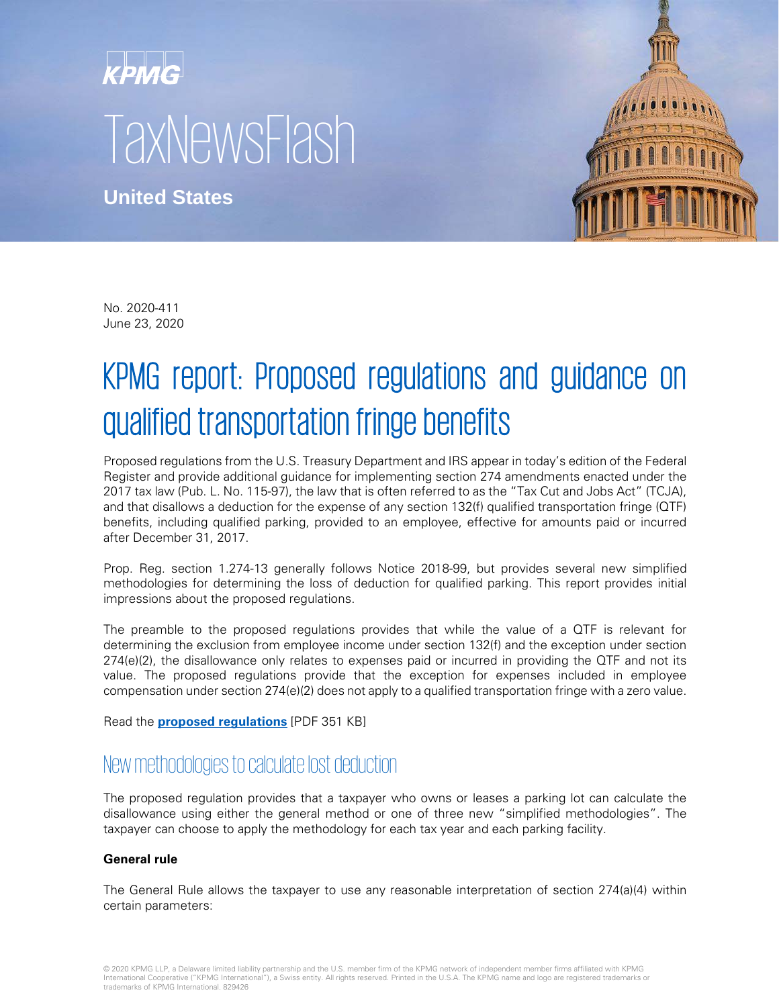# KPMG TaxNewsFlash

**United States**



No. 2020-411 June 23, 2020

# KPMG report: Proposed regulations and guidance on qualified transportation fringe benefits

Proposed regulations from the U.S. Treasury Department and IRS appear in today's edition of the Federal Register and provide additional guidance for implementing section 274 amendments enacted under the 2017 tax law (Pub. L. No. 115-97), the law that is often referred to as the "Tax Cut and Jobs Act" (TCJA), and that disallows a deduction for the expense of any section 132(f) qualified transportation fringe (QTF) benefits, including qualified parking, provided to an employee, effective for amounts paid or incurred after December 31, 2017.

Prop. Reg. section 1.274-13 generally follows Notice 2018-99, but provides several new simplified methodologies for determining the loss of deduction for qualified parking. This report provides initial impressions about the proposed regulations.

The preamble to the proposed regulations provides that while the value of a QTF is relevant for determining the exclusion from employee income under section 132(f) and the exception under section 274(e)(2), the disallowance only relates to expenses paid or incurred in providing the QTF and not its value. The proposed regulations provide that the exception for expenses included in employee compensation under section 274(e)(2) does not apply to a qualified transportation fringe with a zero value.

Read the **[proposed regulations](https://www.govinfo.gov/content/pkg/FR-2020-06-23/pdf/2020-13506.pdf)** [PDF 351 KB]

# New methodologies to calculate lost deduction

The proposed regulation provides that a taxpayer who owns or leases a parking lot can calculate the disallowance using either the general method or one of three new "simplified methodologies". The taxpayer can choose to apply the methodology for each tax year and each parking facility.

#### **General rule**

The General Rule allows the taxpayer to use any reasonable interpretation of section 274(a)(4) within certain parameters:

© 2020 KPMG LLP, a Delaware limited liability partnership and the U.S. member firm of the KPMG network of independent member firms affiliated with KPMG<br>International Cooperative ("KPMG International"), a Swiss entity. All trademarks of KPMG International. 829426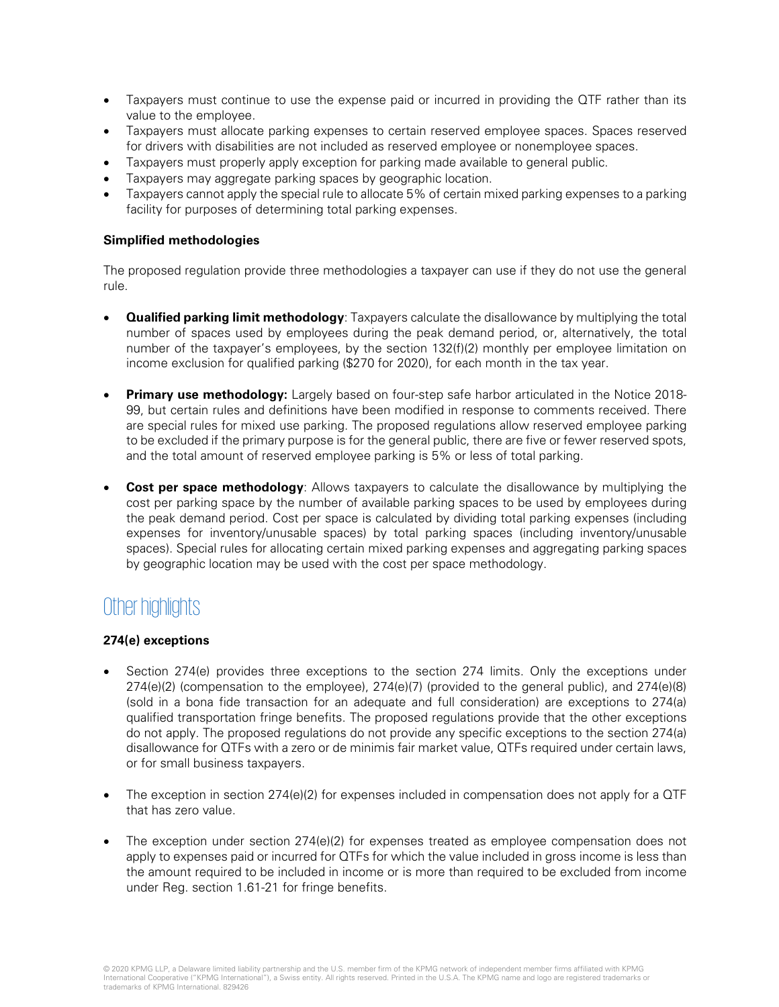- Taxpayers must continue to use the expense paid or incurred in providing the QTF rather than its value to the employee.
- Taxpayers must allocate parking expenses to certain reserved employee spaces. Spaces reserved for drivers with disabilities are not included as reserved employee or nonemployee spaces.
- Taxpayers must properly apply exception for parking made available to general public.
- Taxpayers may aggregate parking spaces by geographic location.
- Taxpayers cannot apply the special rule to allocate 5% of certain mixed parking expenses to a parking facility for purposes of determining total parking expenses.

#### **Simplified methodologies**

The proposed regulation provide three methodologies a taxpayer can use if they do not use the general rule.

- **Qualified parking limit methodology**: Taxpayers calculate the disallowance by multiplying the total number of spaces used by employees during the peak demand period, or, alternatively, the total number of the taxpayer's employees, by the section 132(f)(2) monthly per employee limitation on income exclusion for qualified parking (\$270 for 2020), for each month in the tax year.
- **Primary use methodology:** Largely based on four-step safe harbor articulated in the Notice 2018-99, but certain rules and definitions have been modified in response to comments received. There are special rules for mixed use parking. The proposed regulations allow reserved employee parking to be excluded if the primary purpose is for the general public, there are five or fewer reserved spots, and the total amount of reserved employee parking is 5% or less of total parking.
- **Cost per space methodology:** Allows taxpayers to calculate the disallowance by multiplying the cost per parking space by the number of available parking spaces to be used by employees during the peak demand period. Cost per space is calculated by dividing total parking expenses (including expenses for inventory/unusable spaces) by total parking spaces (including inventory/unusable spaces). Special rules for allocating certain mixed parking expenses and aggregating parking spaces by geographic location may be used with the cost per space methodology.

# Other highlights

#### **274(e) exceptions**

- Section 274(e) provides three exceptions to the section 274 limits. Only the exceptions under 274(e)(2) (compensation to the employee), 274(e)(7) (provided to the general public), and 274(e)(8) (sold in a bona fide transaction for an adequate and full consideration) are exceptions to 274(a) qualified transportation fringe benefits. The proposed regulations provide that the other exceptions do not apply. The proposed regulations do not provide any specific exceptions to the section 274(a) disallowance for QTFs with a zero or de minimis fair market value, QTFs required under certain laws, or for small business taxpayers.
- The exception in section  $274(e)(2)$  for expenses included in compensation does not apply for a QTF that has zero value.
- The exception under section 274(e)(2) for expenses treated as employee compensation does not apply to expenses paid or incurred for QTFs for which the value included in gross income is less than the amount required to be included in income or is more than required to be excluded from income under Reg. section 1.61-21 for fringe benefits.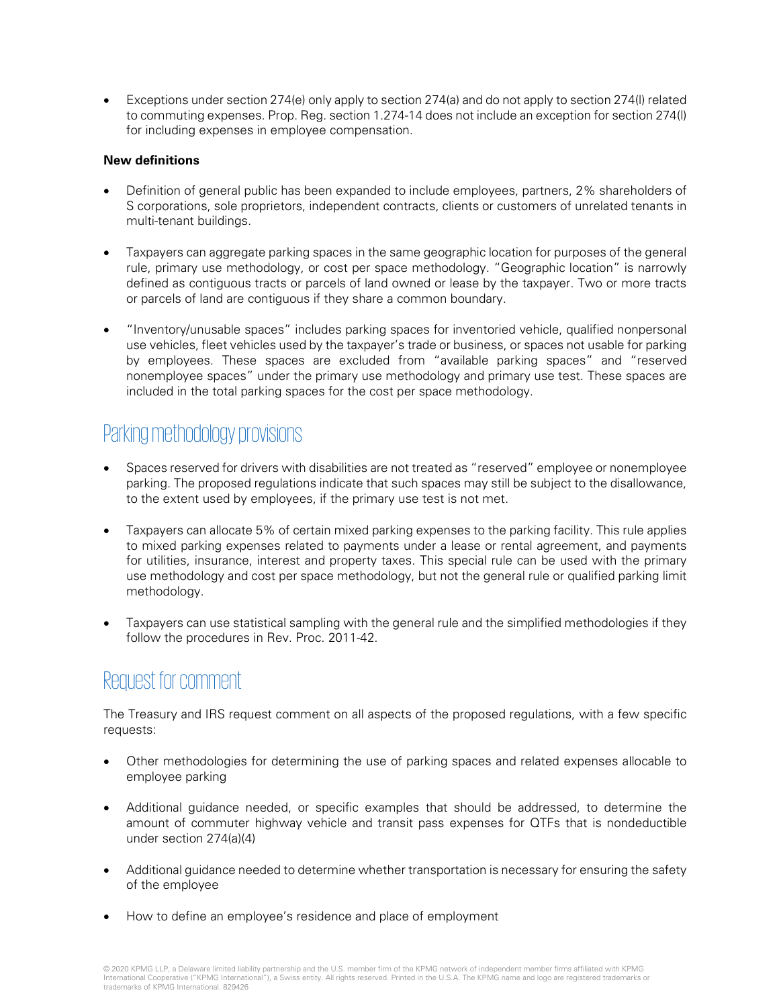• Exceptions under section 274(e) only apply to section 274(a) and do not apply to section 274(l) related to commuting expenses. Prop. Reg. section 1.274-14 does not include an exception for section 274(l) for including expenses in employee compensation.

#### **New definitions**

- Definition of general public has been expanded to include employees, partners, 2% shareholders of S corporations, sole proprietors, independent contracts, clients or customers of unrelated tenants in multi-tenant buildings.
- Taxpayers can aggregate parking spaces in the same geographic location for purposes of the general rule, primary use methodology, or cost per space methodology. "Geographic location" is narrowly defined as contiguous tracts or parcels of land owned or lease by the taxpayer. Two or more tracts or parcels of land are contiguous if they share a common boundary.
- "Inventory/unusable spaces" includes parking spaces for inventoried vehicle, qualified nonpersonal use vehicles, fleet vehicles used by the taxpayer's trade or business, or spaces not usable for parking by employees. These spaces are excluded from "available parking spaces" and "reserved nonemployee spaces" under the primary use methodology and primary use test. These spaces are included in the total parking spaces for the cost per space methodology.

# Parking methodology provisions

- Spaces reserved for drivers with disabilities are not treated as "reserved" employee or nonemployee parking. The proposed regulations indicate that such spaces may still be subject to the disallowance, to the extent used by employees, if the primary use test is not met.
- Taxpayers can allocate 5% of certain mixed parking expenses to the parking facility. This rule applies to mixed parking expenses related to payments under a lease or rental agreement, and payments for utilities, insurance, interest and property taxes. This special rule can be used with the primary use methodology and cost per space methodology, but not the general rule or qualified parking limit methodology.
- Taxpayers can use statistical sampling with the general rule and the simplified methodologies if they follow the procedures in Rev. Proc. 2011-42.

## Request for comment

The Treasury and IRS request comment on all aspects of the proposed regulations, with a few specific requests:

- Other methodologies for determining the use of parking spaces and related expenses allocable to employee parking
- Additional guidance needed, or specific examples that should be addressed, to determine the amount of commuter highway vehicle and transit pass expenses for QTFs that is nondeductible under section 274(a)(4)
- Additional guidance needed to determine whether transportation is necessary for ensuring the safety of the employee
- How to define an employee's residence and place of employment